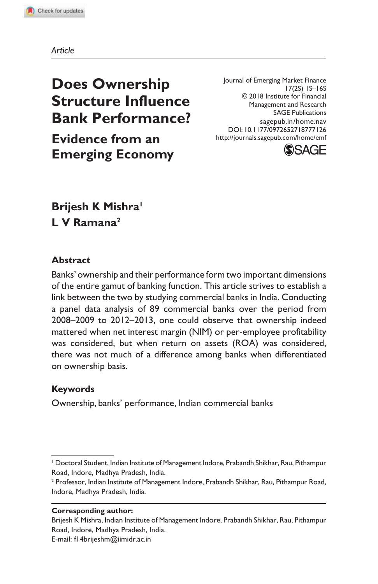*Article*

# **Does Ownership Structure Influence Bank Performance?**

**Evidence from an Emerging Economy**

Journal of Emerging Market Finance 17(2S) 1S–16S © 2018 Institute for Financial Management and Research SAGE Publications sagepub.in/home.nav DOI: 10.1177/0972652718777126 http://journals.sagepub.com/home/emf



## **Brijesh K Mishra<sup>1</sup> L V Ramana<sup>2</sup>**

#### **Abstract**

Banks' ownership and their performance form two important dimensions of the entire gamut of banking function. This article strives to establish a link between the two by studying commercial banks in India. Conducting a panel data analysis of 89 commercial banks over the period from 2008–2009 to 2012–2013, one could observe that ownership indeed mattered when net interest margin (NIM) or per-employee profitability was considered, but when return on assets (ROA) was considered, there was not much of a difference among banks when differentiated on ownership basis.

## **Keywords**

Ownership, banks' performance, Indian commercial banks

#### **Corresponding author:**

E-mail: f14brijeshm@iimidr.ac.in

<sup>1</sup> Doctoral Student, Indian Institute of Management Indore, Prabandh Shikhar, Rau, Pithampur Road, Indore, Madhya Pradesh, India.

<sup>&</sup>lt;sup>2</sup> Professor, Indian Institute of Management Indore, Prabandh Shikhar, Rau, Pithampur Road, Indore, Madhya Pradesh, India.

Brijesh K Mishra, Indian Institute of Management Indore, Prabandh Shikhar, Rau, Pithampur Road, Indore, Madhya Pradesh, India.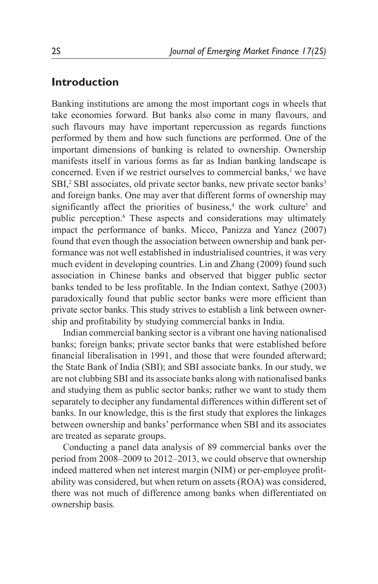### **Introduction**

Banking institutions are among the most important cogs in wheels that take economies forward. But banks also come in many flavours, and such flavours may have important repercussion as regards functions performed by them and how such functions are performed. One of the important dimensions of banking is related to ownership. Ownership manifests itself in various forms as far as Indian banking landscape is concerned. Even if we restrict ourselves to commercial banks, $<sup>1</sup>$  we have</sup> SBI,<sup>2</sup> SBI associates, old private sector banks, new private sector banks<sup>3</sup> and foreign banks. One may aver that different forms of ownership may significantly affect the priorities of business,<sup>4</sup> the work culture<sup>5</sup> and public perception.<sup>6</sup> These aspects and considerations may ultimately impact the performance of banks. Micco, Panizza and Yanez (2007) found that even though the association between ownership and bank performance was not well established in industrialised countries, it was very much evident in developing countries. Lin and Zhang (2009) found such association in Chinese banks and observed that bigger public sector banks tended to be less profitable. In the Indian context, Sathye (2003) paradoxically found that public sector banks were more efficient than private sector banks. This study strives to establish a link between ownership and profitability by studying commercial banks in India.

Indian commercial banking sector is a vibrant one having nationalised banks; foreign banks; private sector banks that were established before financial liberalisation in 1991, and those that were founded afterward; the State Bank of India (SBI); and SBI associate banks. In our study, we are not clubbing SBI and its associate banks along with nationalised banks and studying them as public sector banks; rather we want to study them separately to decipher any fundamental differences within different set of banks. In our knowledge, this is the first study that explores the linkages between ownership and banks' performance when SBI and its associates are treated as separate groups.

Conducting a panel data analysis of 89 commercial banks over the period from 2008–2009 to 2012–2013, we could observe that ownership indeed mattered when net interest margin (NIM) or per-employee profitability was considered, but when return on assets (ROA) was considered, there was not much of difference among banks when differentiated on ownership basis*.*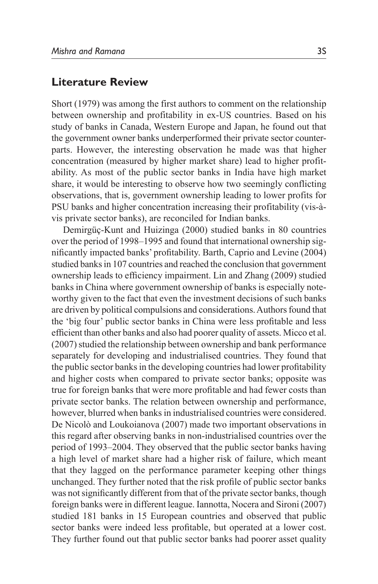#### **Literature Review**

Short (1979) was among the first authors to comment on the relationship between ownership and profitability in ex-US countries. Based on his study of banks in Canada, Western Europe and Japan, he found out that the government owner banks underperformed their private sector counterparts. However, the interesting observation he made was that higher concentration (measured by higher market share) lead to higher profitability. As most of the public sector banks in India have high market share, it would be interesting to observe how two seemingly conflicting observations, that is, government ownership leading to lower profits for PSU banks and higher concentration increasing their profitability (vis-àvis private sector banks), are reconciled for Indian banks.

Demirgüç-Kunt and Huizinga (2000) studied banks in 80 countries over the period of 1998–1995 and found that international ownership significantly impacted banks' profitability. Barth, Caprio and Levine (2004) studied banks in 107 countries and reached the conclusion that government ownership leads to efficiency impairment. Lin and Zhang (2009) studied banks in China where government ownership of banks is especially noteworthy given to the fact that even the investment decisions of such banks are driven by political compulsions and considerations. Authors found that the 'big four' public sector banks in China were less profitable and less efficient than other banks and also had poorer quality of assets. Micco et al. (2007) studied the relationship between ownership and bank performance separately for developing and industrialised countries. They found that the public sector banks in the developing countries had lower profitability and higher costs when compared to private sector banks; opposite was true for foreign banks that were more profitable and had fewer costs than private sector banks. The relation between ownership and performance, however, blurred when banks in industrialised countries were considered. De Nicolò and Loukoianova (2007) made two important observations in this regard after observing banks in non-industrialised countries over the period of 1993–2004. They observed that the public sector banks having a high level of market share had a higher risk of failure, which meant that they lagged on the performance parameter keeping other things unchanged. They further noted that the risk profile of public sector banks was not significantly different from that of the private sector banks, though foreign banks were in different league. Iannotta, Nocera and Sironi (2007) studied 181 banks in 15 European countries and observed that public sector banks were indeed less profitable, but operated at a lower cost. They further found out that public sector banks had poorer asset quality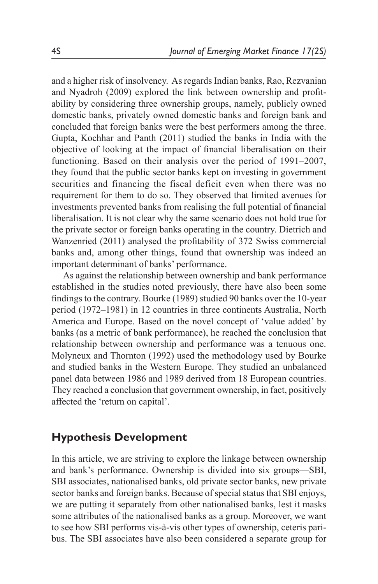and a higher risk of insolvency. As regards Indian banks, Rao, Rezvanian and Nyadroh (2009) explored the link between ownership and profitability by considering three ownership groups, namely, publicly owned domestic banks, privately owned domestic banks and foreign bank and concluded that foreign banks were the best performers among the three. Gupta, Kochhar and Panth (2011) studied the banks in India with the objective of looking at the impact of financial liberalisation on their functioning. Based on their analysis over the period of 1991–2007, they found that the public sector banks kept on investing in government securities and financing the fiscal deficit even when there was no requirement for them to do so. They observed that limited avenues for investments prevented banks from realising the full potential of financial liberalisation. It is not clear why the same scenario does not hold true for the private sector or foreign banks operating in the country. Dietrich and Wanzenried (2011) analysed the profitability of 372 Swiss commercial banks and, among other things, found that ownership was indeed an important determinant of banks' performance.

As against the relationship between ownership and bank performance established in the studies noted previously, there have also been some findings to the contrary. Bourke (1989) studied 90 banks over the 10-year period (1972–1981) in 12 countries in three continents Australia, North America and Europe. Based on the novel concept of 'value added' by banks (as a metric of bank performance), he reached the conclusion that relationship between ownership and performance was a tenuous one. Molyneux and Thornton (1992) used the methodology used by Bourke and studied banks in the Western Europe. They studied an unbalanced panel data between 1986 and 1989 derived from 18 European countries. They reached a conclusion that government ownership, in fact, positively affected the 'return on capital'.

## **Hypothesis Development**

In this article, we are striving to explore the linkage between ownership and bank's performance. Ownership is divided into six groups—SBI, SBI associates, nationalised banks, old private sector banks, new private sector banks and foreign banks. Because of special status that SBI enjoys, we are putting it separately from other nationalised banks, lest it masks some attributes of the nationalised banks as a group. Moreover, we want to see how SBI performs vis-à-vis other types of ownership, ceteris paribus. The SBI associates have also been considered a separate group for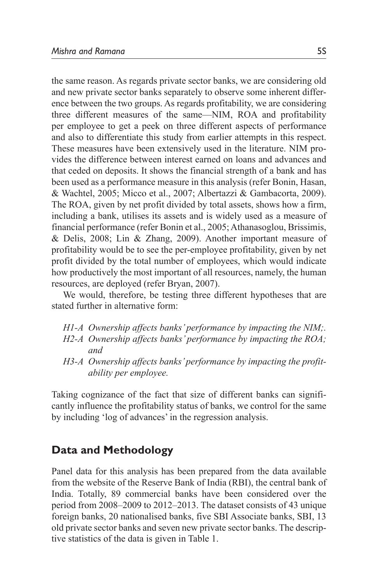the same reason. As regards private sector banks, we are considering old and new private sector banks separately to observe some inherent difference between the two groups. As regards profitability, we are considering three different measures of the same—NIM, ROA and profitability per employee to get a peek on three different aspects of performance and also to differentiate this study from earlier attempts in this respect. These measures have been extensively used in the literature. NIM provides the difference between interest earned on loans and advances and that ceded on deposits. It shows the financial strength of a bank and has been used as a performance measure in this analysis (refer Bonin, Hasan, & Wachtel, 2005; Micco et al., 2007; Albertazzi & Gambacorta, 2009). The ROA, given by net profit divided by total assets, shows how a firm, including a bank, utilises its assets and is widely used as a measure of financial performance (refer Bonin et al., 2005; Athanasoglou, Brissimis, & Delis, 2008; Lin & Zhang, 2009). Another important measure of profitability would be to see the per-employee profitability, given by net profit divided by the total number of employees, which would indicate how productively the most important of all resources, namely, the human resources, are deployed (refer Bryan, 2007).

We would, therefore, be testing three different hypotheses that are stated further in alternative form:

- *H1-A Ownership affects banks' performance by impacting the NIM;.*
- *H2-A Ownership affects banks' performance by impacting the ROA; and*
- *H3-A Ownership affects banks' performance by impacting the profitability per employee.*

Taking cognizance of the fact that size of different banks can significantly influence the profitability status of banks, we control for the same by including 'log of advances' in the regression analysis.

## **Data and Methodology**

Panel data for this analysis has been prepared from the data available from the website of the Reserve Bank of India (RBI), the central bank of India. Totally, 89 commercial banks have been considered over the period from 2008–2009 to 2012–2013. The dataset consists of 43 unique foreign banks, 20 nationalised banks, five SBI Associate banks, SBI, 13 old private sector banks and seven new private sector banks. The descriptive statistics of the data is given in Table 1.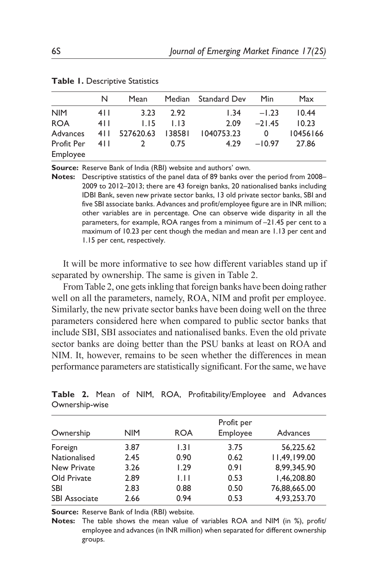|            | N     | Mean                 |               | Median Standard Dev Min |                         | Max      |
|------------|-------|----------------------|---------------|-------------------------|-------------------------|----------|
| <b>NIM</b> | 4 I I | 3.23                 | 2.92          |                         | $1.34 - 1.23$           | 10.44    |
| <b>ROA</b> | 4 I I |                      | $1.15 - 1.13$ | 2.09                    | $-21.45$                | 10.23    |
| Advances   |       | 411 527620.63 138581 |               | 1040753.23              | $\overline{\mathbf{0}}$ | 10456166 |
| Profit Per | 4 I I | $\overline{2}$       | 0.75          | 4.29                    | $-10.97$                | 27.86    |
| Employee   |       |                      |               |                         |                         |          |

**Table 1.** Descriptive Statistics

**Source:** Reserve Bank of India (RBI) website and authors' own.

**Notes:** Descriptive statistics of the panel data of 89 banks over the period from 2008– 2009 to 2012–2013; there are 43 foreign banks, 20 nationalised banks including IDBI Bank, seven new private sector banks, 13 old private sector banks, SBI and five SBI associate banks. Advances and profit/employee figure are in INR million; other variables are in percentage. One can observe wide disparity in all the parameters, for example, ROA ranges from a minimum of –21.45 per cent to a maximum of 10.23 per cent though the median and mean are 1.13 per cent and 1.15 per cent, respectively.

It will be more informative to see how different variables stand up if separated by ownership. The same is given in Table 2.

From Table 2, one gets inkling that foreign banks have been doing rather well on all the parameters, namely, ROA, NIM and profit per employee. Similarly, the new private sector banks have been doing well on the three parameters considered here when compared to public sector banks that include SBI, SBI associates and nationalised banks. Even the old private sector banks are doing better than the PSU banks at least on ROA and NIM. It, however, remains to be seen whether the differences in mean performance parameters are statistically significant. For the same, we have

| Ownership            | <b>NIM</b> | <b>ROA</b> | Profit per<br>Employee | Advances     |
|----------------------|------------|------------|------------------------|--------------|
| Foreign              | 3.87       | 1.31       | 3.75                   | 56.225.62    |
| Nationalised         | 2.45       | 0.90       | 0.62                   | 11,49,199.00 |
| <b>New Private</b>   | 3.26       | 1.29       | 0.91                   | 8.99.345.90  |
| Old Private          | 2.89       | 1.11       | 0.53                   | 1,46,208.80  |
| <b>SBI</b>           | 2.83       | 0.88       | 0.50                   | 76,88,665.00 |
| <b>SBI Associate</b> | 2.66       | 0.94       | 0.53                   | 4.93.253.70  |

**Table 2.** Mean of NIM, ROA, Profitability/Employee and Advances Ownership-wise

**Source:** Reserve Bank of India (RBI) website.

**Notes:** The table shows the mean value of variables ROA and NIM (in %), profit/ employee and advances (in INR million) when separated for different ownership groups.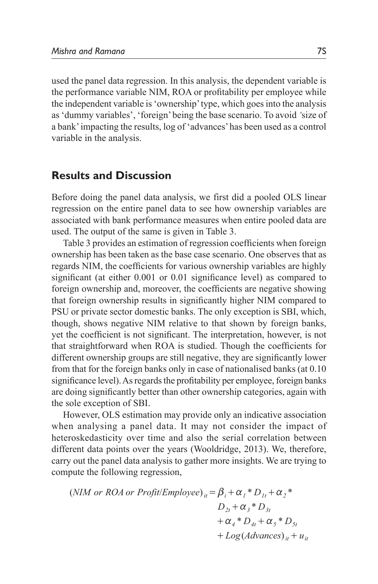used the panel data regression. In this analysis, the dependent variable is the performance variable NIM, ROA or profitability per employee while the independent variable is 'ownership' type, which goes into the analysis as 'dummy variables', 'foreign' being the base scenario. To avoid *'*size of a bank' impacting the results, log of 'advances' has been used as a control variable in the analysis.

#### **Results and Discussion**

Before doing the panel data analysis, we first did a pooled OLS linear regression on the entire panel data to see how ownership variables are associated with bank performance measures when entire pooled data are used. The output of the same is given in Table 3.

Table 3 provides an estimation of regression coefficients when foreign ownership has been taken as the base case scenario. One observes that as regards NIM, the coefficients for various ownership variables are highly significant (at either 0.001 or 0.01 significance level) as compared to foreign ownership and, moreover, the coefficients are negative showing that foreign ownership results in significantly higher NIM compared to PSU or private sector domestic banks. The only exception is SBI, which, though, shows negative NIM relative to that shown by foreign banks, yet the coefficient is not significant. The interpretation, however, is not that straightforward when ROA is studied. Though the coefficients for different ownership groups are still negative, they are significantly lower from that for the foreign banks only in case of nationalised banks (at 0.10 significance level). As regards the profitability per employee, foreign banks are doing significantly better than other ownership categories, again with the sole exception of SBI.

However, OLS estimation may provide only an indicative association when analysing a panel data. It may not consider the impact of heteroskedasticity over time and also the serial correlation between different data points over the years (Wooldridge, 2013). We, therefore, carry out the panel data analysis to gather more insights. We are trying to compute the following regression,

 $(NIM \ or \ ROA \ or \ Profit/Employee)_{ii} = \beta_i + \alpha_i * D_{1i} + \alpha_2 *$  $D_{2t} + \alpha_3 * D_{3t}$  $+\alpha_4 * D_{4t} + \alpha_5 * D_{5t}$  $+ Log(Advances)_{it} + u_{it}$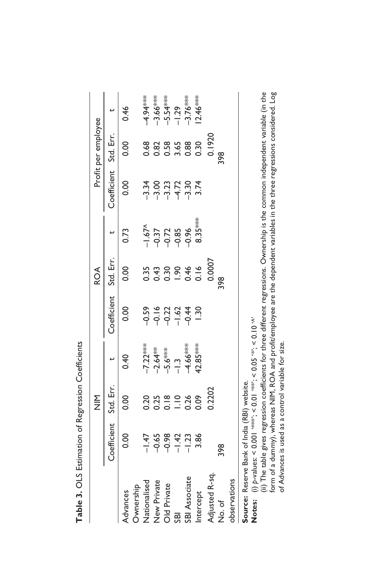|                                              |                                                                                                                                                                                                                    | $rac{\Sigma}{\Sigma}$ |                                                    |             | <b>ROA</b> |      |                       | Profit per employee               |                                                                               |
|----------------------------------------------|--------------------------------------------------------------------------------------------------------------------------------------------------------------------------------------------------------------------|-----------------------|----------------------------------------------------|-------------|------------|------|-----------------------|-----------------------------------|-------------------------------------------------------------------------------|
|                                              | Coefficient                                                                                                                                                                                                        | Std. Err.             |                                                    | Coefficient | Std. Err.  |      | Coefficient Std. Err. |                                   |                                                                               |
| Ownership<br>Advances                        | 0.00                                                                                                                                                                                                               | 0.00                  | 0.40                                               | 0.00        | 0.00       | 0.73 | 0.00                  | 0.00                              | 0.46                                                                          |
| Nationalised                                 |                                                                                                                                                                                                                    |                       |                                                    |             |            |      |                       |                                   |                                                                               |
| New Private                                  | $\frac{47}{1}$ 9 8 9 4 2 3 8 4 2 3 9 4 2 3 9 4 2 3 9 4 2 3 9 4 2 3 9 4 2 3 9 4 2 3 9 4 2 3 9 4 2 4 2 3 9 4 2 5 $\frac{47}{1}$ 7 $\frac{36}{1}$ 8 $\frac{47}{1}$ 7 $\frac{36}{1}$ 8 $\frac{47}{1}$ 7 $\frac{36}{1}$ |                       | -7.22***<br>-2.64**<br>-5.6***<br>-1.3<br>-4.66*** |             |            |      |                       | 8<br>8 8 8 9 8 8 9<br>0 0 0 1 0 0 | $-4.94***$<br>$-3.66***$<br>$-5.54***$<br>$-1.29$<br>$-1.76***$<br>$-1.76***$ |
| Old Private                                  |                                                                                                                                                                                                                    |                       |                                                    |             |            |      |                       |                                   |                                                                               |
| <b>SBI</b>                                   |                                                                                                                                                                                                                    |                       |                                                    |             |            |      |                       |                                   |                                                                               |
| SBI Associate                                |                                                                                                                                                                                                                    |                       |                                                    |             |            |      |                       |                                   |                                                                               |
| Intercept                                    |                                                                                                                                                                                                                    |                       | $42.85***$                                         |             |            |      |                       |                                   |                                                                               |
| Adjusted R-sq.                               |                                                                                                                                                                                                                    | 0.2202                |                                                    |             | 0.0007     |      |                       | 0.1920                            |                                                                               |
| रे<br>No. of                                 | 398                                                                                                                                                                                                                |                       |                                                    |             |            |      |                       | 398                               |                                                                               |
| observations                                 |                                                                                                                                                                                                                    |                       |                                                    |             |            |      |                       |                                   |                                                                               |
| Source: Reserve Bank of India (RBI) website. |                                                                                                                                                                                                                    |                       |                                                    |             |            |      |                       |                                   |                                                                               |

|                                             | ľ                                |
|---------------------------------------------|----------------------------------|
|                                             |                                  |
|                                             |                                  |
|                                             |                                  |
|                                             |                                  |
|                                             | the contract of the second color |
|                                             |                                  |
|                                             |                                  |
|                                             |                                  |
|                                             |                                  |
|                                             |                                  |
|                                             |                                  |
|                                             |                                  |
|                                             |                                  |
|                                             |                                  |
|                                             | $\ddot{\phantom{0}}$             |
|                                             |                                  |
| ource: Reserve Bank of India (RBI) website. |                                  |
|                                             |                                  |

(i) p-values: < 0.001 "sets", < 0.01 "set"; < 0.05 "\*"; < 0.10 "^" **Notes:**  $(i)$  p-values: < 0.001 \*\*\*; < 0.05 \*\*; < 0.10 '^ Notes:

(ii) The table gives regression coefficients for three different regressions. Ownership is the common independent variable (in the (ii) The table gives regression coefficients for three different regressions. Ownership is the common independent variable (in the form of a dummy), whereas NIM, ROA and profit/employee are the dependent variables in the three regressions considered. Log form of a dummy), whereas NIM, ROA and profit/employee are the dependent variables in the three regressions considered. Log of Advances is used as a control variable for size. of Advances is used as a control variable for size.

Table 3. OLS Estimation of Regression Coefficients **Table 3.** OLS Estimation of Regression Coefficients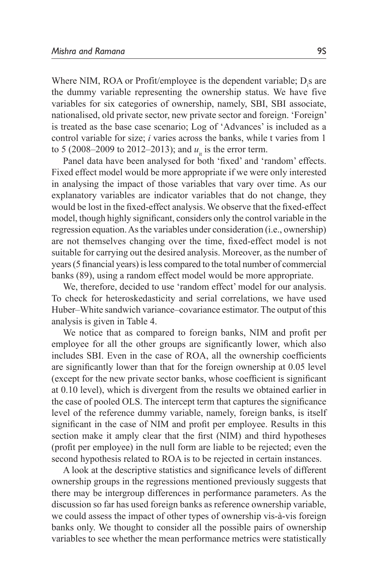Where NIM, ROA or Profit/employee is the dependent variable;  $D_i$ s are the dummy variable representing the ownership status. We have five variables for six categories of ownership, namely, SBI, SBI associate, nationalised, old private sector, new private sector and foreign. 'Foreign' is treated as the base case scenario; Log of 'Advances' is included as a control variable for size; *i* varies across the banks, while t varies from 1 to 5 (2008–2009 to 2012–2013); and  $u_{i}$  is the error term.

Panel data have been analysed for both 'fixed' and 'random' effects. Fixed effect model would be more appropriate if we were only interested in analysing the impact of those variables that vary over time. As our explanatory variables are indicator variables that do not change, they would be lost in the fixed-effect analysis. We observe that the fixed-effect model, though highly significant, considers only the control variable in the regression equation. As the variables under consideration (i.e., ownership) are not themselves changing over the time, fixed-effect model is not suitable for carrying out the desired analysis. Moreover, as the number of years (5 financial years) is less compared to the total number of commercial banks (89), using a random effect model would be more appropriate.

We, therefore, decided to use 'random effect' model for our analysis. To check for heteroskedasticity and serial correlations, we have used Huber–White sandwich variance–covariance estimator. The output of this analysis is given in Table 4.

We notice that as compared to foreign banks, NIM and profit per employee for all the other groups are significantly lower, which also includes SBI. Even in the case of ROA, all the ownership coefficients are significantly lower than that for the foreign ownership at 0.05 level (except for the new private sector banks, whose coefficient is significant at 0.10 level), which is divergent from the results we obtained earlier in the case of pooled OLS. The intercept term that captures the significance level of the reference dummy variable, namely, foreign banks, is itself significant in the case of NIM and profit per employee. Results in this section make it amply clear that the first (NIM) and third hypotheses (profit per employee) in the null form are liable to be rejected; even the second hypothesis related to ROA is to be rejected in certain instances.

A look at the descriptive statistics and significance levels of different ownership groups in the regressions mentioned previously suggests that there may be intergroup differences in performance parameters. As the discussion so far has used foreign banks as reference ownership variable, we could assess the impact of other types of ownership vis-à-vis foreign banks only. We thought to consider all the possible pairs of ownership variables to see whether the mean performance metrics were statistically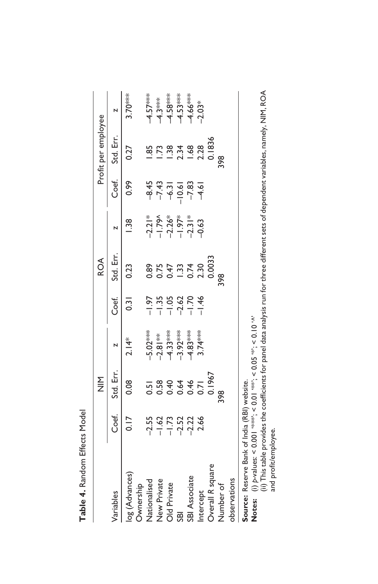|                                                             |                                                                                                                                                                                                                                | $rac{\Sigma}{\Sigma}$                                                               |                                                                                  |                                                                                            | <b>ROA</b> |                                                                           |                                                                         | Profit per employee                    |           |
|-------------------------------------------------------------|--------------------------------------------------------------------------------------------------------------------------------------------------------------------------------------------------------------------------------|-------------------------------------------------------------------------------------|----------------------------------------------------------------------------------|--------------------------------------------------------------------------------------------|------------|---------------------------------------------------------------------------|-------------------------------------------------------------------------|----------------------------------------|-----------|
| Variables                                                   | Coef.                                                                                                                                                                                                                          | Std. Err.                                                                           | N                                                                                | Coef.                                                                                      | Std. Err.  |                                                                           | Coef.                                                                   | Std. Err.                              | N         |
| log (Advances)<br>Ownership                                 | 0.17                                                                                                                                                                                                                           | 0.08                                                                                | $2.14*$                                                                          | 0.31                                                                                       | 0.23       | $\frac{38}{1}$                                                            | 0.99                                                                    | 0.27                                   | $3.70***$ |
| Nationalised                                                |                                                                                                                                                                                                                                |                                                                                     |                                                                                  |                                                                                            |            |                                                                           |                                                                         |                                        |           |
| New Private                                                 | 55<br>2575223<br>257723                                                                                                                                                                                                        | $\begin{array}{c}\n 2000000 \\  -20000000 \\  -20000000 \\  -2000000\n \end{array}$ | $-5.02***$<br>$-2.81***$<br>$-4.33***$<br>$-3.92***$<br>$+6.83***$<br>$+6.83***$ | $7\frac{1}{1}$<br>$-1\frac{1}{1}$<br>$-1\frac{1}{1}$<br>$-1\frac{1}{1}$<br>$-1\frac{1}{1}$ |            | $-2.21$<br>$-1.79$<br>$-1.26$<br>$+1.97$<br>$-1.97$<br>$-1.97$<br>$-0.63$ | $437 - 100$<br>$437 - 100$<br>$437 - 100$<br>$437 - 100$<br>$459 - 100$ | 1.85                                   |           |
| Old Private                                                 |                                                                                                                                                                                                                                |                                                                                     |                                                                                  |                                                                                            |            |                                                                           |                                                                         |                                        |           |
| <b>SBI</b>                                                  |                                                                                                                                                                                                                                |                                                                                     |                                                                                  |                                                                                            |            |                                                                           |                                                                         |                                        |           |
| SBI Associate                                               |                                                                                                                                                                                                                                |                                                                                     |                                                                                  |                                                                                            |            |                                                                           |                                                                         | $1.38$<br>$2.34$<br>$2.28$<br>$0.1836$ |           |
| Intercept                                                   |                                                                                                                                                                                                                                |                                                                                     |                                                                                  |                                                                                            |            |                                                                           |                                                                         |                                        |           |
| Overall R square                                            |                                                                                                                                                                                                                                |                                                                                     |                                                                                  |                                                                                            |            |                                                                           |                                                                         |                                        |           |
| Number of                                                   |                                                                                                                                                                                                                                | $\frac{8}{2}$                                                                       |                                                                                  |                                                                                            | 868        |                                                                           |                                                                         | $\frac{8}{2}$                          |           |
| observations                                                |                                                                                                                                                                                                                                |                                                                                     |                                                                                  |                                                                                            |            |                                                                           |                                                                         |                                        |           |
| Source: Reserve Bank of India (RBI) website.<br>$\sim$<br>j | external property and control of the control of the control of the control of the control of the control of the control of the control of the control of the control of the control of the control of the control of the contr |                                                                                     | $\sim$ $\sim$ $\sim$                                                             |                                                                                            |            |                                                                           |                                                                         |                                        |           |

**Notes:**  $(i)$  *p*-values: < 0.001 '\*\*\*'; < 0.0001 '\*\*\*'; < 0.05 '\*\*; < 0.10 '^ Notes:

(i) p-values: < 0.001 \*\*\*\*; < 0.01 \*\*; < 0.05 \*\*; < 0.10 '^'<br>(ii) This table provides the coefficients for panel data analysis run for three different sets of dependent variables, namely, NIM, ROA (ii) This table provides the coefficients for panel data analysis run for three different sets of dependent variables, namely, NIM, ROA and profit/employee. and profit/employee.

Table 4. Random Effects Model **Table 4.** Random Effects Model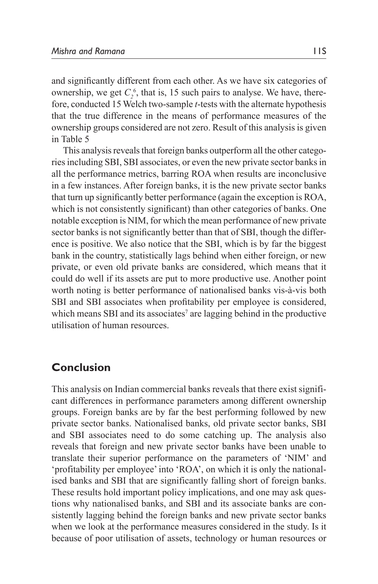and significantly different from each other. As we have six categories of ownership, we get  $C_2^6$ , that is, 15 such pairs to analyse. We have, therefore, conducted 15 Welch two-sample *t*-tests with the alternate hypothesis that the true difference in the means of performance measures of the ownership groups considered are not zero. Result of this analysis is given in Table 5

This analysis reveals that foreign banks outperform all the other categories including SBI, SBI associates, or even the new private sector banks in all the performance metrics, barring ROA when results are inconclusive in a few instances. After foreign banks, it is the new private sector banks that turn up significantly better performance (again the exception is ROA, which is not consistently significant) than other categories of banks. One notable exception is NIM, for which the mean performance of new private sector banks is not significantly better than that of SBI, though the difference is positive. We also notice that the SBI, which is by far the biggest bank in the country, statistically lags behind when either foreign, or new private, or even old private banks are considered, which means that it could do well if its assets are put to more productive use. Another point worth noting is better performance of nationalised banks vis-à-vis both SBI and SBI associates when profitability per employee is considered, which means SBI and its associates<sup>7</sup> are lagging behind in the productive utilisation of human resources.

## **Conclusion**

This analysis on Indian commercial banks reveals that there exist significant differences in performance parameters among different ownership groups. Foreign banks are by far the best performing followed by new private sector banks. Nationalised banks, old private sector banks, SBI and SBI associates need to do some catching up. The analysis also reveals that foreign and new private sector banks have been unable to translate their superior performance on the parameters of 'NIM' and 'profitability per employee' into 'ROA', on which it is only the nationalised banks and SBI that are significantly falling short of foreign banks. These results hold important policy implications, and one may ask questions why nationalised banks, and SBI and its associate banks are consistently lagging behind the foreign banks and new private sector banks when we look at the performance measures considered in the study. Is it because of poor utilisation of assets, technology or human resources or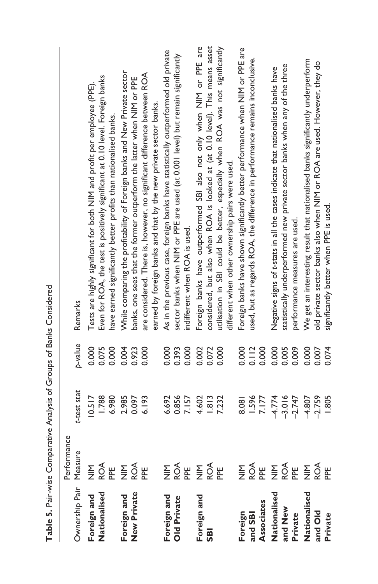| Ownership Pair Measure<br>Foreign and<br>Nationalised | Performance                                     |                      |         |                                                                                    |
|-------------------------------------------------------|-------------------------------------------------|----------------------|---------|------------------------------------------------------------------------------------|
|                                                       |                                                 |                      |         |                                                                                    |
|                                                       |                                                 | t-test stat          | p-value | Remarks                                                                            |
|                                                       |                                                 | 10.517               | 0.000   | Tests are highly significant for both NIM and profit per employee (PPE)            |
|                                                       |                                                 | 1.788                | 0.075   | Even for ROA, the test is positively significant at 0.10 level. Foreign banks      |
|                                                       | <b>MARE SOR</b><br>MARE SOR                     | 6.980                | 0.000   | have earned significantly better profits than nationalised banks.                  |
| Foreign and                                           |                                                 | 2.985                | 0.004   | While comparing the profitability of Foreign banks and New Private sector          |
| <b>New Private</b>                                    |                                                 | 0.097                | 0.923   | banks, one sees that the former outperform the latter when NIM or PPE              |
|                                                       |                                                 | 6.193                | 0.000   | are considered. There is, however, no significant difference between ROA           |
|                                                       |                                                 |                      |         | earned by foreign banks and that by the new private sector banks.                  |
| Foreign and                                           |                                                 | 6.692                | 0.000   | As in the previous case, foreign banks have statistically outperformed old private |
| <b>Old Private</b>                                    |                                                 | 0.856                | 0.393   | sector banks when NIM or PPE are used (at 0.001 level) but remain significantly    |
|                                                       |                                                 | 7.157                | 0.000   | indifferent when ROA is used.                                                      |
| Foreign and                                           | <b>MARE SOR</b><br>MARE SOR                     | 4.602                | 0.002   | Foreign banks have outperformed SBI also not only when NIM or PPE are              |
|                                                       |                                                 | 1.813                | 0.072   | considered, but also when ROA is looked at (at 0.10 level). This means asset       |
|                                                       |                                                 | 7.232                | 0.000   | utilisation in SBI could be better, especially when ROA was not significantly      |
|                                                       |                                                 |                      |         | different when other ownership pairs were used.                                    |
|                                                       |                                                 | 8.081                | 0.000   | Foreign banks have shown significantly better performance when NIM or PPE are      |
|                                                       |                                                 | 1.596                | 0.112   | used, but as regards ROA, the difference in performance remains inconclusive.      |
| Foreign<br>and SBI<br>Associates                      |                                                 | 7.177                | 0.000   |                                                                                    |
| Nationalised                                          | <b>MARE SOF</b><br>MARE SOF                     | $-4.774$             | 0.000   | Negative signs of t-stats in all the cases indicate that nationalised banks have   |
| and New<br>Private                                    |                                                 | $-3.016$             | 0.005   | statistically underperformed new private sector banks when any of the three        |
|                                                       |                                                 |                      |         | performance measures are used.                                                     |
|                                                       |                                                 | $-4.807$             | 0.000   | We get an interesting result that nationalised banks significantly underperform    |
|                                                       |                                                 |                      | 0.007   | old private sector banks also when NIM or ROA are used. However, they do           |
| Private                                               |                                                 | <b>1.805</b>         | 0.074   | significantly better when PPE is used.                                             |
| Nationalised<br>and Old                               | $rac{1}{2}$ $rac{1}{2}$ $rac{1}{2}$ $rac{1}{2}$ | $-2.759$<br>$-2.747$ | 0.009   |                                                                                    |

Table 5. Pair-wise Comparative Analysis of Groups of Banks Considered **Table 5.** Pair-wise Comparative Analysis of Groups of Banks Considered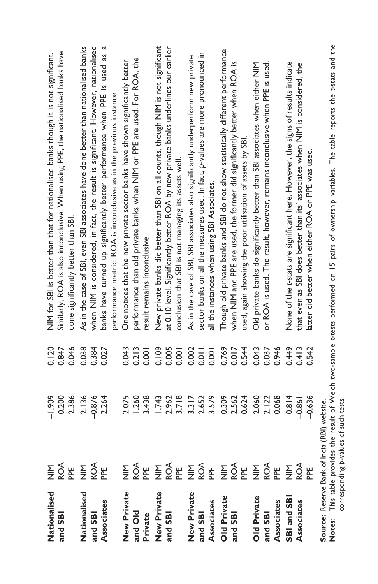| Nationalised       | $rac{\Sigma}{\Sigma}$                        | $-1.909$ | 0.120 | NIM for SBI is better than that for nationalised banks though it is not significant.                                                                  |
|--------------------|----------------------------------------------|----------|-------|-------------------------------------------------------------------------------------------------------------------------------------------------------|
| and SB             |                                              | 0.200    | 0.847 | Similarly, ROA is also inconclusive. When using PPE, the nationalised banks have                                                                      |
|                    | ROA<br>PPE                                   | 2.386    | 0.046 | done significantly better than SBI                                                                                                                    |
| Nationalised       |                                              | $-2.136$ | 0.038 | As in the case of SBI, even SBI associates have done better than nationalised banks                                                                   |
| and SBI            |                                              | $-0.876$ | 0.384 | when NIM is considered, in fact, the result is significant. However, nationalised                                                                     |
| Associates         |                                              | 2.264    | 0.027 | ß<br>banks have turned up significantly better performance when PPE is used as                                                                        |
|                    |                                              |          |       | performance metric. ROA is inconclusive as in the previous instance                                                                                   |
| New Private        | $rac{\Sigma}{\Sigma}$                        | 2.075    | 0.043 | One notices that the new private sector banks have shown significantly better                                                                         |
|                    | ROA<br>PPE                                   | 1.260    | 0.213 | performance than old private banks when NIM or PPE are used. For ROA, the                                                                             |
| and Old<br>Private |                                              | 3.438    | 0.001 | result remains inconclusive.                                                                                                                          |
| New Private        | $rac{\Sigma}{\Sigma}$                        | 1.743    | 0.109 | New private banks did better than SBI on all counts, though NIM is not significant                                                                    |
| and SBI            | ROA<br>PE                                    | 2.962    | 0.005 | at 0.10 level. Significantly better ROA by new private banks underlines our earlier                                                                   |
|                    |                                              | 3.718    | 0.001 | conclusion that SBI is not managing its assets well.                                                                                                  |
| New Private        | $rac{\Sigma}{Z}$                             | 3.317    | 0.002 | As in the case of SBI, SBI associates also significantly underperform new private                                                                     |
| and SBI            | ROA<br>PPE                                   | 2.652    | 0.011 | sector banks on all the measures used. In fact, p-values are more pronounced in                                                                       |
| Associates         |                                              | 3.579    | 0.001 | all the instances when using SBI Associates.                                                                                                          |
| <b>Old Private</b> | <b>MAR</b><br>SQ RE                          | 0.309    | 0.769 | Though old private banks and SBI do not show statistically different performance                                                                      |
| and SBI            |                                              | 2.562    | 0.017 | when NIM and PPE are used, the former did significantly better when ROA is                                                                            |
|                    |                                              | 0.624    | 0.544 | used, again showing the poor utilisation of assets by SBI                                                                                             |
| Old Private        | <b>MAR</b><br>EQE                            | 2.060    | 0.043 | Old private banks do significantly better than SBI associates when either NIM                                                                         |
| and SBI            |                                              | 2.122    | 0.037 | or ROA is used. The result, however, remains inconclusive when PPE is used.                                                                           |
| Associates         |                                              | 0.068    | 0.946 |                                                                                                                                                       |
| SBI and SBI        | NIN<br>ROA                                   | 0.814    | 0.449 | None of the t-stats are significant here. However, the signs of results indicate                                                                      |
| Associates         |                                              | $-0.861$ | 0.413 | that even as SBI does better than its' associates when NIM is considered, the                                                                         |
|                    | )<br>이                                       | $-0.636$ | 0.542 | latter did better when either ROA or PPE was used.                                                                                                    |
|                    | Source: Reserve Bank of India (RBI) website. |          |       |                                                                                                                                                       |
|                    |                                              |          |       | Notes: This table provides the result of Welch two-sample t-tests performed on 15 pairs of ownership variables. The table reports the t-stats and the |
|                    | corresponding p-values of such tests.        |          |       |                                                                                                                                                       |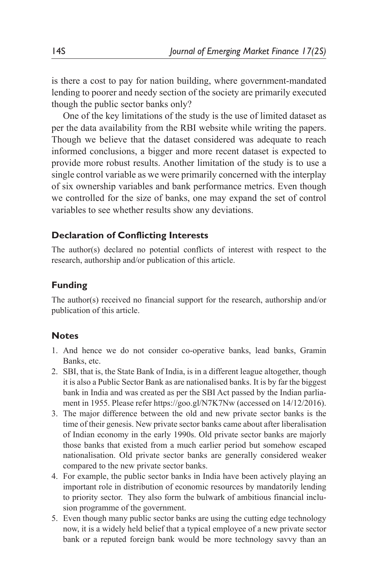is there a cost to pay for nation building, where government-mandated lending to poorer and needy section of the society are primarily executed though the public sector banks only?

One of the key limitations of the study is the use of limited dataset as per the data availability from the RBI website while writing the papers. Though we believe that the dataset considered was adequate to reach informed conclusions, a bigger and more recent dataset is expected to provide more robust results. Another limitation of the study is to use a single control variable as we were primarily concerned with the interplay of six ownership variables and bank performance metrics. Even though we controlled for the size of banks, one may expand the set of control variables to see whether results show any deviations.

#### **Declaration of Conflicting Interests**

The author(s) declared no potential conflicts of interest with respect to the research, authorship and/or publication of this article.

#### **Funding**

The author(s) received no financial support for the research, authorship and/or publication of this article.

#### **Notes**

- 1. And hence we do not consider co-operative banks, lead banks, Gramin Banks, etc.
- 2. SBI, that is, the State Bank of India, is in a different league altogether, though it is also a Public Sector Bank as are nationalised banks. It is by far the biggest bank in India and was created as per the SBI Act passed by the Indian parliament in 1955. Please refer https://goo.gl/N7K7Nw (accessed on 14/12/2016).
- 3. The major difference between the old and new private sector banks is the time of their genesis. New private sector banks came about after liberalisation of Indian economy in the early 1990s. Old private sector banks are majorly those banks that existed from a much earlier period but somehow escaped nationalisation. Old private sector banks are generally considered weaker compared to the new private sector banks.
- 4. For example, the public sector banks in India have been actively playing an important role in distribution of economic resources by mandatorily lending to priority sector. They also form the bulwark of ambitious financial inclusion programme of the government.
- 5. Even though many public sector banks are using the cutting edge technology now, it is a widely held belief that a typical employee of a new private sector bank or a reputed foreign bank would be more technology savvy than an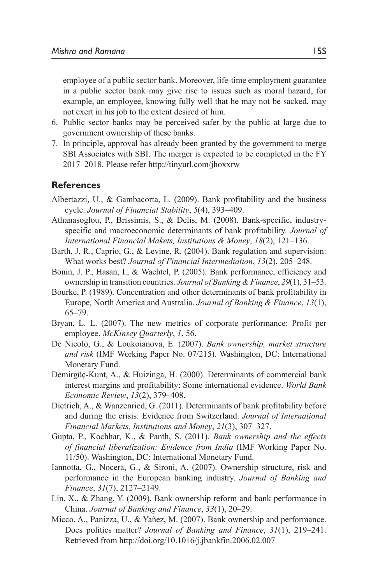employee of a public sector bank. Moreover, life-time employment guarantee in a public sector bank may give rise to issues such as moral hazard, for example, an employee, knowing fully well that he may not be sacked, may not exert in his job to the extent desired of him.

- 6. Public sector banks may be perceived safer by the public at large due to government ownership of these banks.
- 7. In principle, approval has already been granted by the government to merge SBI Associates with SBI. The merger is expected to be completed in the FY 2017–2018. Please refer http://tinyurl.com/jhoxxrw

#### **References**

- Albertazzi, U., & Gambacorta, L. (2009). Bank profitability and the business cycle. *Journal of Financial Stability*, *5*(4), 393–409.
- Athanasoglou, P., Brissimis, S., & Delis, M. (2008). Bank-specific, industryspecific and macroeconomic determinants of bank profitability. *Journal of International Financial Makets, Institutions & Money*, *18*(2), 121–136.
- Barth, J. R., Caprio, G., & Levine, R. (2004). Bank regulation and supervision: What works best? *Journal of Financial Intermediation*, *13*(2), 205–248.
- Bonin, J. P., Hasan, I., & Wachtel, P. (2005). Bank performance, efficiency and ownership in transition countries. *Journal of Banking & Finance*, *29*(1), 31–53.
- Bourke, P. (1989). Concentration and other determinants of bank profitability in Europe, North America and Australia. *Journal of Banking & Finance*, *13*(1), 65–79.
- Bryan, L. L. (2007). The new metrics of corporate performance: Profit per employee. *McKinsey Quarterly*, *1*, 56.
- De Nicolò, G., & Loukoianova, E. (2007). *Bank ownership, market structure and risk* (IMF Working Paper No. 07/215). Washington, DC: International Monetary Fund.
- Demirgüç-Kunt, A., & Huizinga, H. (2000). Determinants of commercial bank interest margins and profitability: Some international evidence. *World Bank Economic Review*, *13*(2), 379–408.
- Dietrich, A., & Wanzenried, G. (2011). Determinants of bank profitability before and during the crisis: Evidence from Switzerland. *Journal of International Financial Markets, Institutions and Money*, *21*(3), 307–327.
- Gupta, P., Kochhar, K., & Panth, S. (2011). *Bank ownership and the effects of financial liberalization: Evidence from India* (IMF Working Paper No. 11/50). Washington, DC: International Monetary Fund.
- Iannotta, G., Nocera, G., & Sironi, A. (2007). Ownership structure, risk and performance in the European banking industry. *Journal of Banking and Finance*, *31*(7), 2127–2149.
- Lin, X., & Zhang, Y. (2009). Bank ownership reform and bank performance in China. *Journal of Banking and Finance*, *33*(1), 20–29.
- Micco, A., Panizza, U., & Yañez, M. (2007). Bank ownership and performance. Does politics matter? *Journal of Banking and Finance*, *31*(1), 219–241. Retrieved from http://doi.org/10.1016/j.jbankfin.2006.02.007